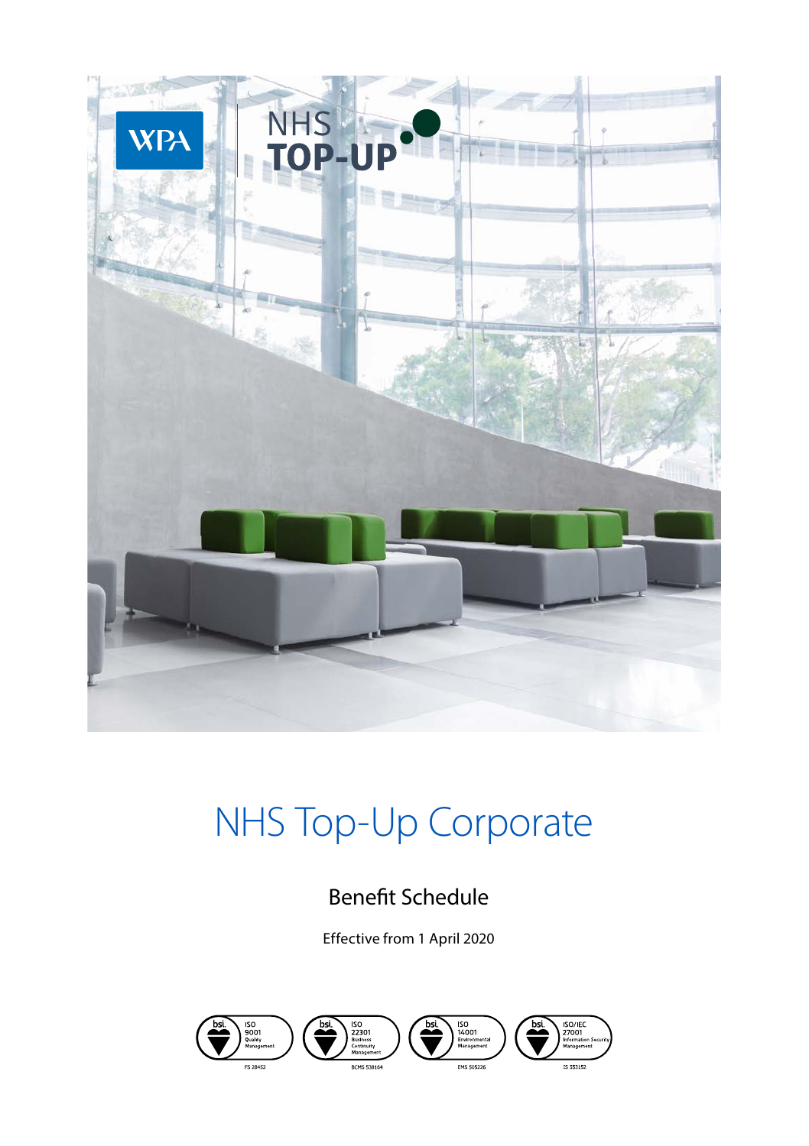

# NHS Top-Up Corporate

## Benefit Schedule

Effective from 1 April 2020





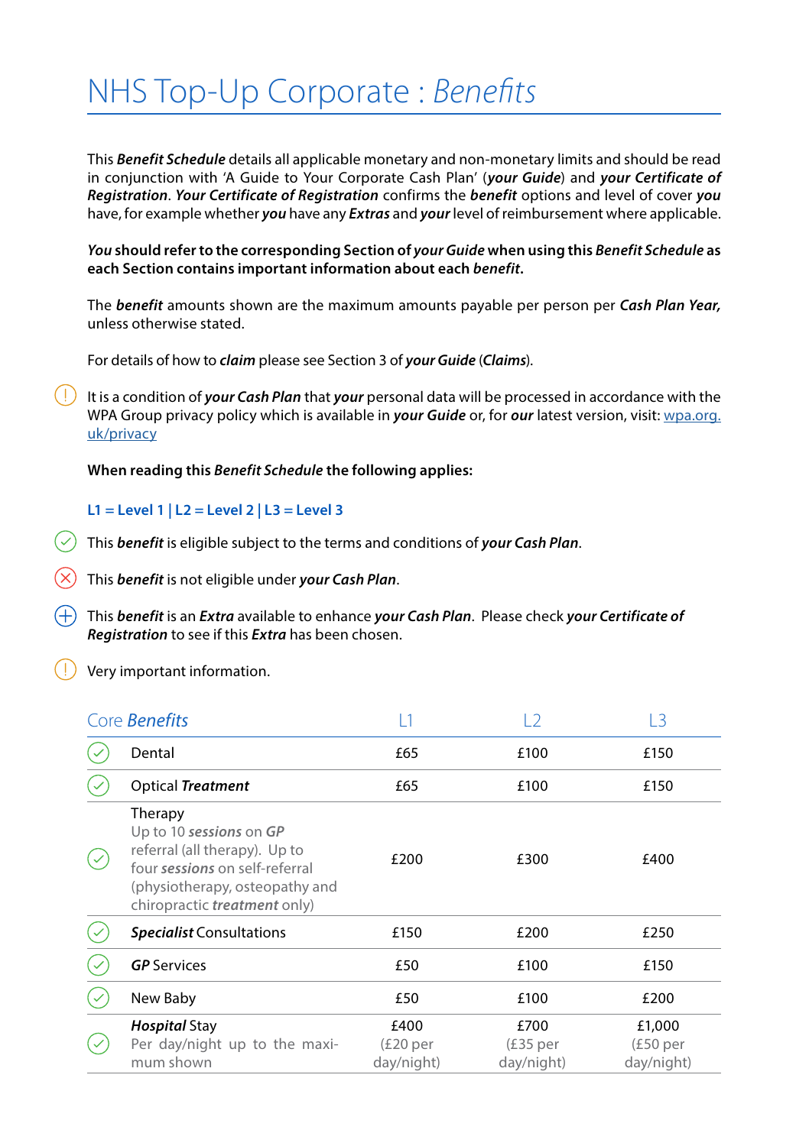## NHS Top-Up Corporate : *Benefits*

This *Benefit Schedule* details all applicable monetary and non-monetary limits and should be read in conjunction with 'A Guide to Your Corporate Cash Plan' (*your Guide*) and *your Certificate of Registration*. *Your Certificate of Registration* confirms the *benefit* options and level of cover *you* have, for example whether *you* have any *Extras* and *your* level of reimbursement where applicable.

*You* **should refer to the corresponding Section of** *your Guide* **when using this** *Benefit Schedule* **as each Section contains important information about each** *benefit***.**

The *benefit* amounts shown are the maximum amounts payable per person per *Cash Plan Year,*  unless otherwise stated.

For details of how to *claim* please see Section 3 of *your Guide* (*Claims*).

 $(1)$ It is a condition of *your Cash Plan* that *your* personal data will be processed in accordance with the WPA Group privacy policy which is available in *your Guide* or, for *our* latest version, visit: wpa.org. uk/privacy

#### **When reading this** *Benefit Schedule* **the following applies:**

#### **L1 = Level 1 | L2 = Level 2 | L3 = Level 3**

This *benefit* is eligible subject to the terms and conditions of *your Cash Plan*.

This *benefit* is not eligible under *your Cash Plan*.

This *benefit* is an *Extra* available to enhance *your Cash Plan*. Please check *your Certificate of Registration* to see if this *Extra* has been chosen.

Very important information.

| Core <b>Benefits</b> |                                                                                                                                                                                |                                             | 12                              | 13                               |
|----------------------|--------------------------------------------------------------------------------------------------------------------------------------------------------------------------------|---------------------------------------------|---------------------------------|----------------------------------|
|                      | Dental                                                                                                                                                                         | £65                                         | £100                            | £150                             |
|                      | <b>Optical Treatment</b>                                                                                                                                                       | £65                                         | £100                            | £150                             |
|                      | Therapy<br>Up to 10 sessions on GP<br>referral (all therapy). Up to<br>four sessions on self-referral<br>(physiotherapy, osteopathy and<br>chiropractic <i>treatment</i> only) | £200                                        | £300                            | £400                             |
|                      | <b>Specialist Consultations</b>                                                                                                                                                | £150                                        | £200                            | £250                             |
|                      | <b>GP</b> Services                                                                                                                                                             | £50                                         | £100                            | £150                             |
|                      | New Baby                                                                                                                                                                       | £50                                         | £100                            | £200                             |
|                      | <b>Hospital Stay</b><br>Per day/night up to the maxi-<br>mum shown                                                                                                             | £400<br>(E20 <sub>per</sub> )<br>day/night) | £700<br>$£35$ per<br>day/night) | £1,000<br>(£50 per<br>day/night) |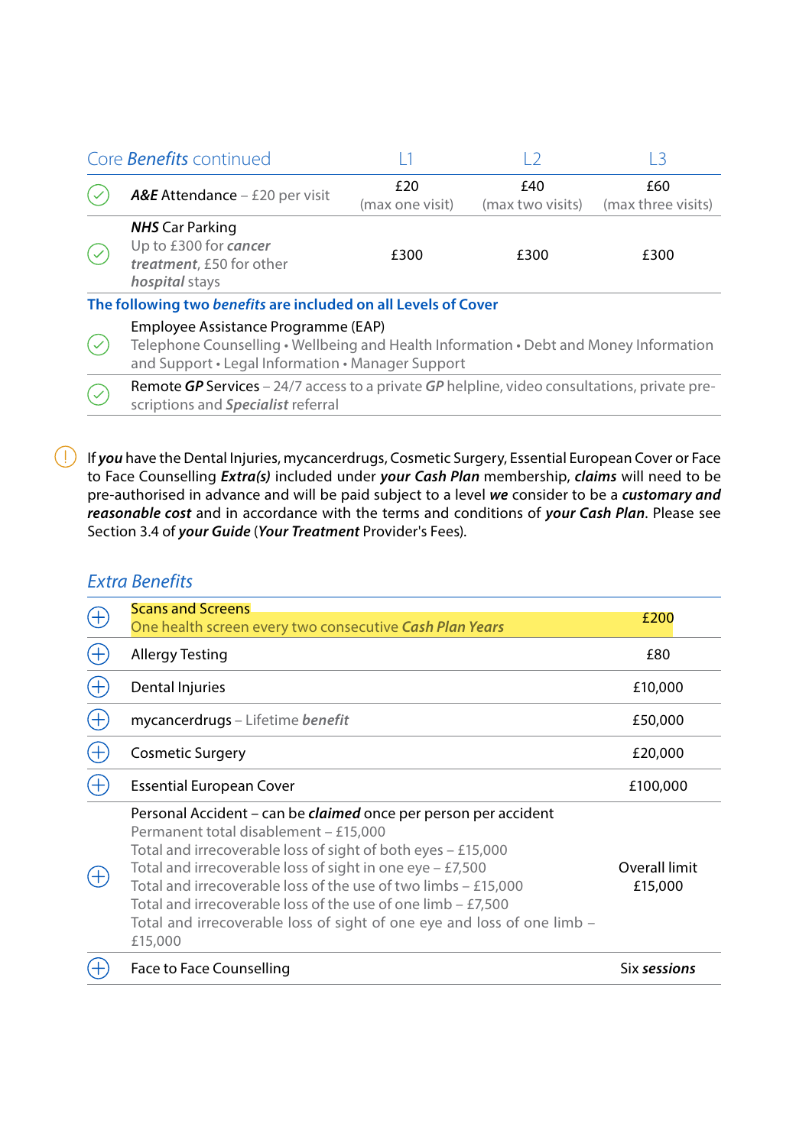| Core <b>Benefits</b> continued |                                                                                                                                                                                   |                        |                         | -3                        |  |  |
|--------------------------------|-----------------------------------------------------------------------------------------------------------------------------------------------------------------------------------|------------------------|-------------------------|---------------------------|--|--|
|                                | <b>A&amp;E</b> Attendance $-$ £20 per visit                                                                                                                                       | £20<br>(max one visit) | £40<br>(max two visits) | £60<br>(max three visits) |  |  |
|                                | <b>NHS</b> Car Parking<br>Up to £300 for cancer<br>treatment. £50 for other<br>hospital stays                                                                                     | £300                   | £300                    | £300                      |  |  |
|                                | The following two benefits are included on all Levels of Cover                                                                                                                    |                        |                         |                           |  |  |
|                                | Employee Assistance Programme (EAP)<br>Telephone Counselling • Wellbeing and Health Information • Debt and Money Information<br>and Support • Legal Information • Manager Support |                        |                         |                           |  |  |
|                                | <b>Remote GP Services</b> – 24/7 access to a private GP helpline, video consultations, private pre-<br>scriptions and Specialist referral                                         |                        |                         |                           |  |  |

If *you* have the Dental Injuries, mycancerdrugs, Cosmetic Surgery, Essential European Cover or Face to Face Counselling *Extra(s)* included under *your Cash Plan* membership, *claims* will need to be pre-authorised in advance and will be paid subject to a level *we* consider to be a *customary and reasonable cost* and in accordance with the terms and conditions of *your Cash Plan*. Please see Section 3.4 of *your Guide* (*Your Treatment* Provider's Fees).

### *Extra Benefits*

| <b>Scans and Screens</b>                                                                                                                                                                                                                                                                                                                                                                                                                                                     | £200                     |
|------------------------------------------------------------------------------------------------------------------------------------------------------------------------------------------------------------------------------------------------------------------------------------------------------------------------------------------------------------------------------------------------------------------------------------------------------------------------------|--------------------------|
| One health screen every two consecutive Cash Plan Years                                                                                                                                                                                                                                                                                                                                                                                                                      |                          |
| Allergy Testing                                                                                                                                                                                                                                                                                                                                                                                                                                                              | £80                      |
| Dental Injuries                                                                                                                                                                                                                                                                                                                                                                                                                                                              | £10,000                  |
| mycancerdrugs - Lifetime benefit                                                                                                                                                                                                                                                                                                                                                                                                                                             | £50,000                  |
| <b>Cosmetic Surgery</b>                                                                                                                                                                                                                                                                                                                                                                                                                                                      | £20,000                  |
| <b>Essential European Cover</b>                                                                                                                                                                                                                                                                                                                                                                                                                                              | £100,000                 |
| Personal Accident - can be <i>claimed</i> once per person per accident<br>Permanent total disablement - £15,000<br>Total and irrecoverable loss of sight of both eyes $-$ £15,000<br>Total and irrecoverable loss of sight in one eye $-$ £7,500<br>Total and irrecoverable loss of the use of two limbs $-$ £15,000<br>Total and irrecoverable loss of the use of one limb $-$ £7,500<br>Total and irrecoverable loss of sight of one eye and loss of one limb -<br>£15,000 | Overall limit<br>£15,000 |
| Face to Face Counselling                                                                                                                                                                                                                                                                                                                                                                                                                                                     | Six sessions             |